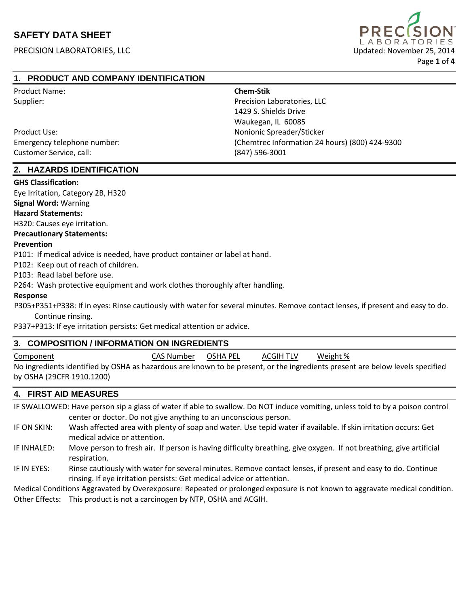

## **1. PRODUCT AND COMPANY IDENTIFICATION**

| <b>Product Name:</b>        | <b>Chem-Stik</b>                               |
|-----------------------------|------------------------------------------------|
| Supplier:                   | Precision Laboratories, LLC                    |
|                             | 1429 S. Shields Drive                          |
|                             | Waukegan, IL 60085                             |
| Product Use:                | Nonionic Spreader/Sticker                      |
| Emergency telephone number: | (Chemtrec Information 24 hours) (800) 424-9300 |
| Customer Service, call:     | $(847)$ 596-3001                               |

## **2. HAZARDS IDENTIFICATION**

#### **GHS Classification:**

Eye Irritation, Category 2B, H320

**Signal Word:** Warning

#### **Hazard Statements:**

H320: Causes eye irritation.

#### **Precautionary Statements:**

#### **Prevention**

P101: If medical advice is needed, have product container or label at hand.

P102: Keep out of reach of children.

P103: Read label before use.

P264: Wash protective equipment and work clothes thoroughly after handling.

#### **Response**

 P305+P351+P338: If in eyes: Rinse cautiously with water for several minutes. Remove contact lenses, if present and easy to do. Continue rinsing.

P337+P313: If eye irritation persists: Get medical attention or advice.

### **3. COMPOSITION / INFORMATION ON INGREDIENTS**

| Component                                                                                                                     | CAS Number | OSHA PEL | <b>ACGIH TLV</b> | Weight % |
|-------------------------------------------------------------------------------------------------------------------------------|------------|----------|------------------|----------|
| No ingredients identified by OSHA as hazardous are known to be present, or the ingredients present are below levels specified |            |          |                  |          |
| by OSHA (29CFR 1910.1200)                                                                                                     |            |          |                  |          |

## **4. FIRST AID MEASURES**

IF SWALLOWED: Have person sip a glass of water if able to swallow. Do NOT induce vomiting, unless told to by a poison control center or doctor. Do not give anything to an unconscious person.

- IF ON SKIN: Wash affected area with plenty of soap and water. Use tepid water if available. If skin irritation occurs: Get medical advice or attention.
- IF INHALED: Move person to fresh air. If person is having difficulty breathing, give oxygen. If not breathing, give artificial respiration.
- IF IN EYES: Rinse cautiously with water for several minutes. Remove contact lenses, if present and easy to do. Continue rinsing. If eye irritation persists: Get medical advice or attention.

Medical Conditions Aggravated by Overexposure: Repeated or prolonged exposure is not known to aggravate medical condition. Other Effects: This product is not a carcinogen by NTP, OSHA and ACGIH.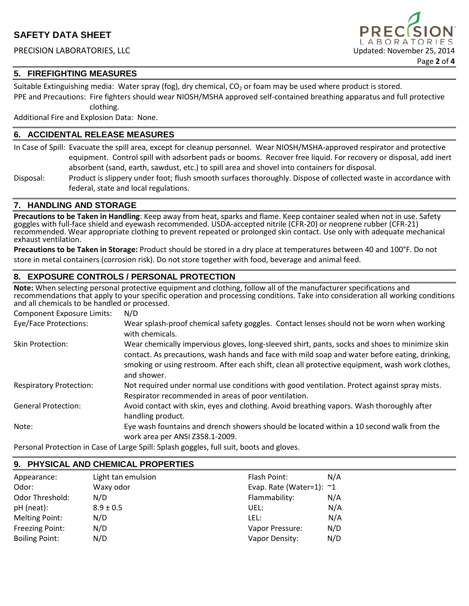

## **5. FIREFIGHTING MEASURES**

Suitable Extinguishing media: Water spray (fog), dry chemical,  $CO<sub>2</sub>$  or foam may be used where product is stored. PPE and Precautions: Fire fighters should wear NIOSH/MSHA approved self-contained breathing apparatus and full protective clothing.

Additional Fire and Explosion Data: None.

## **6. ACCIDENTAL RELEASE MEASURES**

In Case of Spill: Evacuate the spill area, except for cleanup personnel. Wear NIOSH/MSHA-approved respirator and protective equipment. Control spill with adsorbent pads or booms. Recover free liquid. For recovery or disposal, add inert absorbent (sand, earth, sawdust, etc.) to spill area and shovel into containers for disposal.

Disposal: Product is slippery under foot; flush smooth surfaces thoroughly. Dispose of collected waste in accordance with federal, state and local regulations.

## **7. HANDLING AND STORAGE**

**Precautions to be Taken in Handling**: Keep away from heat, sparks and flame. Keep container sealed when not in use. Safety goggles with full-face shield and eyewash recommended. USDA-accepted nitrile (CFR-20) or neoprene rubber (CFR-21) recommended. Wear appropriate clothing to prevent repeated or prolonged skin contact. Use only with adequate mechanical exhaust ventilation.

**Precautions to be Taken in Storage:** Product should be stored in a dry place at temperatures between 40 and 100°F. Do not store in metal containers (corrosion risk). Do not store together with food, beverage and animal feed.

## **8. EXPOSURE CONTROLS / PERSONAL PROTECTION**

**Note:** When selecting personal protective equipment and clothing, follow all of the manufacturer specifications and recommendations that apply to your specific operation and processing conditions. Take into consideration all working conditions and all chemicals to be handled or processed.

| <b>Component Exposure Limits:</b> | N/D                                                                                                                                                                                                                                                                                                                |
|-----------------------------------|--------------------------------------------------------------------------------------------------------------------------------------------------------------------------------------------------------------------------------------------------------------------------------------------------------------------|
| Eye/Face Protections:             | Wear splash-proof chemical safety goggles. Contact lenses should not be worn when working<br>with chemicals.                                                                                                                                                                                                       |
| Skin Protection:                  | Wear chemically impervious gloves, long-sleeved shirt, pants, socks and shoes to minimize skin<br>contact. As precautions, wash hands and face with mild soap and water before eating, drinking,<br>smoking or using restroom. After each shift, clean all protective equipment, wash work clothes,<br>and shower. |
| <b>Respiratory Protection:</b>    | Not required under normal use conditions with good ventilation. Protect against spray mists.<br>Respirator recommended in areas of poor ventilation.                                                                                                                                                               |
| <b>General Protection:</b>        | Avoid contact with skin, eyes and clothing. Avoid breathing vapors. Wash thoroughly after<br>handling product.                                                                                                                                                                                                     |
| Note:                             | Eye wash fountains and drench showers should be located within a 10 second walk from the<br>work area per ANSI Z358.1-2009.                                                                                                                                                                                        |

Personal Protection in Case of Large Spill: Splash goggles, full suit, boots and gloves.

**9. PHYSICAL AND CHEMICAL PROPERTIES**

| 9. PHISICAL AND CHEMICAL PROPERTIES |  |  |
|-------------------------------------|--|--|
| N/A                                 |  |  |
| Evap. Rate (Water=1): $\sim$ 1      |  |  |
| N/A                                 |  |  |
| N/A                                 |  |  |
| N/A                                 |  |  |
| N/D                                 |  |  |
| N/D                                 |  |  |
|                                     |  |  |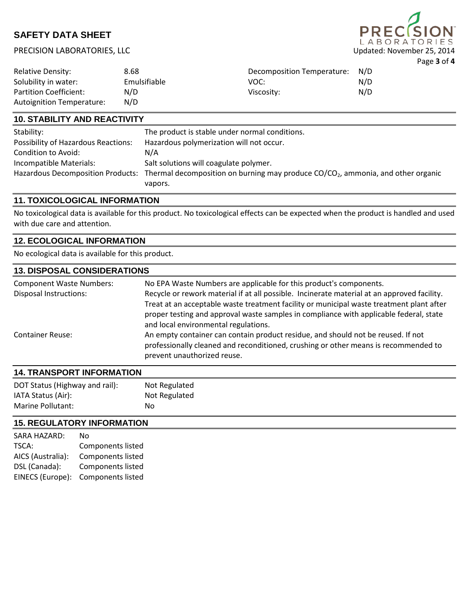# **PRE LABORATORIES** Page **3** of **4**

## PRECISION LABORATORIES, LLC Updated: November 25, 2014

| <b>Relative Density:</b>                                   | 8.68         | Decomposition Temperature: | N/D |
|------------------------------------------------------------|--------------|----------------------------|-----|
| Solubility in water:                                       | Emulsifiable | VOC:                       | N/D |
| <b>Partition Coefficient:</b><br>Autoignition Temperature: | N/D<br>N/D   | Viscosity:                 | N/D |

## **10. STABILITY AND REACTIVITY**

| Stability:                                 | The product is stable under normal conditions.                                                                                 |
|--------------------------------------------|--------------------------------------------------------------------------------------------------------------------------------|
| <b>Possibility of Hazardous Reactions:</b> | Hazardous polymerization will not occur.                                                                                       |
| Condition to Avoid:                        | N/A                                                                                                                            |
| Incompatible Materials:                    | Salt solutions will coagulate polymer.                                                                                         |
|                                            | Hazardous Decomposition Products: Thermal decomposition on burning may produce CO/CO <sub>2</sub> , ammonia, and other organic |
|                                            | vapors.                                                                                                                        |

## **11. TOXICOLOGICAL INFORMATION**

No toxicological data is available for this product. No toxicological effects can be expected when the product is handled and used with due care and attention.

## **12. ECOLOGICAL INFORMATION**

No ecological data is available for this product.

#### **13. DISPOSAL CONSIDERATIONS**

| <b>Component Waste Numbers:</b> | No EPA Waste Numbers are applicable for this product's components.                                                                                                                                     |
|---------------------------------|--------------------------------------------------------------------------------------------------------------------------------------------------------------------------------------------------------|
| <b>Disposal Instructions:</b>   | Recycle or rework material if at all possible. Incinerate material at an approved facility.                                                                                                            |
|                                 | Treat at an acceptable waste treatment facility or municipal waste treatment plant after                                                                                                               |
|                                 | proper testing and approval waste samples in compliance with applicable federal, state                                                                                                                 |
|                                 | and local environmental regulations.                                                                                                                                                                   |
| <b>Container Reuse:</b>         | An empty container can contain product residue, and should not be reused. If not<br>professionally cleaned and reconditioned, crushing or other means is recommended to<br>prevent unauthorized reuse. |

# **14. TRANSPORT INFORMATION**

| DOT Status (Highway and rail): | Not Regulated |
|--------------------------------|---------------|
| IATA Status (Air):             | Not Regulated |
| Marine Pollutant:              | No            |

## **15. REGULATORY INFORMATION**

| SARA HAZARD:      | No                       |
|-------------------|--------------------------|
| TSCA:             | <b>Components listed</b> |
| AICS (Australia): | <b>Components listed</b> |
| DSL (Canada):     | <b>Components listed</b> |
| EINECS (Europe):  | <b>Components listed</b> |